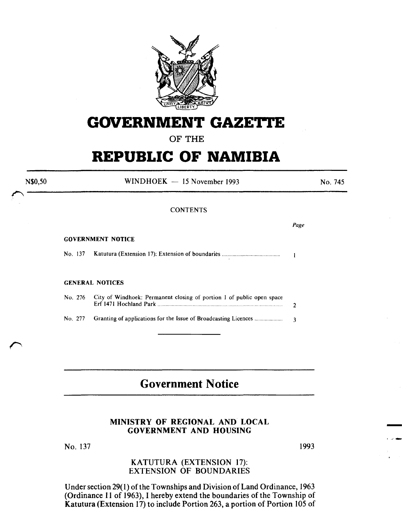

# **GOVERNMENT GAZETTE**

OF THE

# **REPUBLIC OF NAMIBIA**

 $WINDHOEK - 15 November 1993$ 

## No. 745

*Page* 

### **CONTENTS**

#### GOVERNMENT NOTICE

N\$0,50

No. 137 Katutura (Extension 17): Extension of boundaries .................................. .

#### GENERAL NOTICES

| No. 276 City of Windhoek: Permanent closing of portion 1 of public open space |              |
|-------------------------------------------------------------------------------|--------------|
|                                                                               | $\mathbf{R}$ |

# **Government Notice**

# MINISTRY OF REGIONAL AND LOCAL GOVERNMENT AND HOUSING

No. 137

1993

-

# KATUTURA (EXTENSION 17): EXTENSION OF BOUNDARIES

Under section 29( I) of the Townships and Division of Land Ordinance, 1963 (Ordinance 11 of 1963), I hereby extend the boundaries of the Township of Katutura (Extension 17) to include Portion 263, a portion of Portion 105 of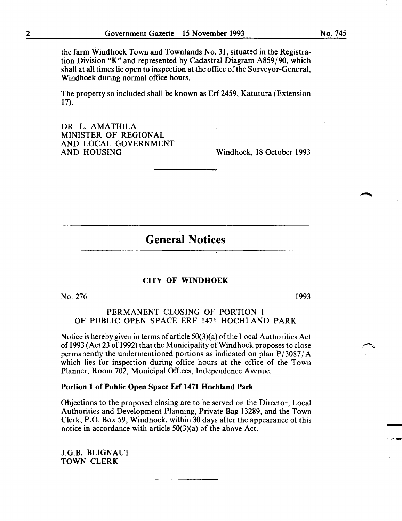the farm Windhoek Town and Townlands No. 31, situated in the Registration Division "K" and represented by Cadastral Diagram A859/90, which shall at all times lie open to inspection at the office of the Surveyor-General, Windhoek during normal office hours.

The property so included shall be known as Erf 2459, Katutura (Extension 17).

DR. L. AMATHILA MINISTER OF REGIONAL AND LOCAL GOVERNMENT<br>AND HOUSING

Windhoek, 18 October 1993

# General Notices

#### CITY OF WINDHOEK

 $No. 276$  1993

-

PERMANENT CLOSING OF PORTION I OF PUBLIC OPEN SPACE ERF 1471 HOCHLAND PARK

Notice is hereby given in terms of article 50(3)(a) of the Local Authorities Act of 1993 (Act 23 of 1992) that the Municipality of Windhoek proposes to close permanently the undermentioned portions as indicated on plan  $P/3087/A$ which lies for inspection during office hours at the office of the Town Planner, Room 702, Municipal Offices, Independence Avenue.

### Portion 1 of Public Open Space Erf 1471 Hochland Park

Objections to the proposed closing are to be served on the Director, Local Authorities and Development Planning, Private Bag 13289, and the Town Clerk, P.O. Box 59, Windhoek, within 30 days after the appearance of this notice in accordance with article 50(3)(a) of the above Act.

J.G.B. BLIGNAUT TOWN CLERK